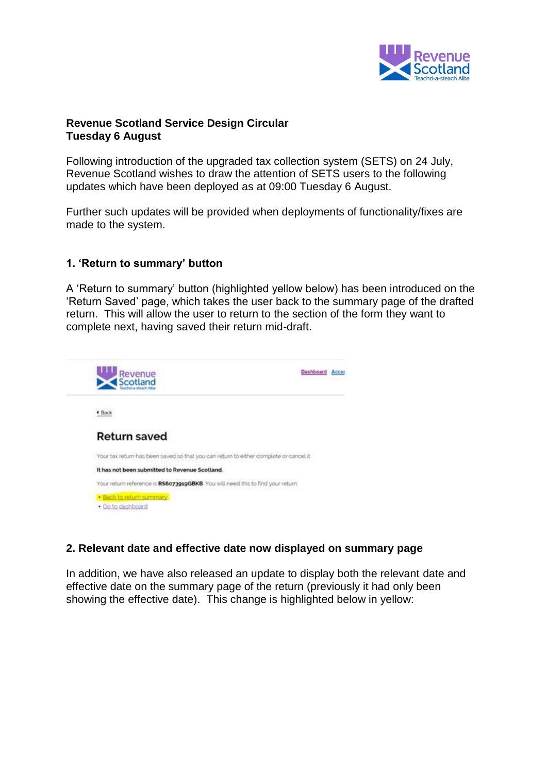

## **Revenue Scotland Service Design Circular Tuesday 6 August**

Following introduction of the upgraded tax collection system (SETS) on 24 July, Revenue Scotland wishes to draw the attention of SETS users to the following updates which have been deployed as at 09:00 Tuesday 6 August.

Further such updates will be provided when deployments of functionality/fixes are made to the system.

### **1. 'Return to summary' button**

A 'Return to summary' button (highlighted yellow below) has been introduced on the 'Return Saved' page, which takes the user back to the summary page of the drafted return. This will allow the user to return to the section of the form they want to complete next, having saved their return mid-draft.



# **2. Relevant date and effective date now displayed on summary page**

In addition, we have also released an update to display both the relevant date and effective date on the summary page of the return (previously it had only been showing the effective date). This change is highlighted below in yellow: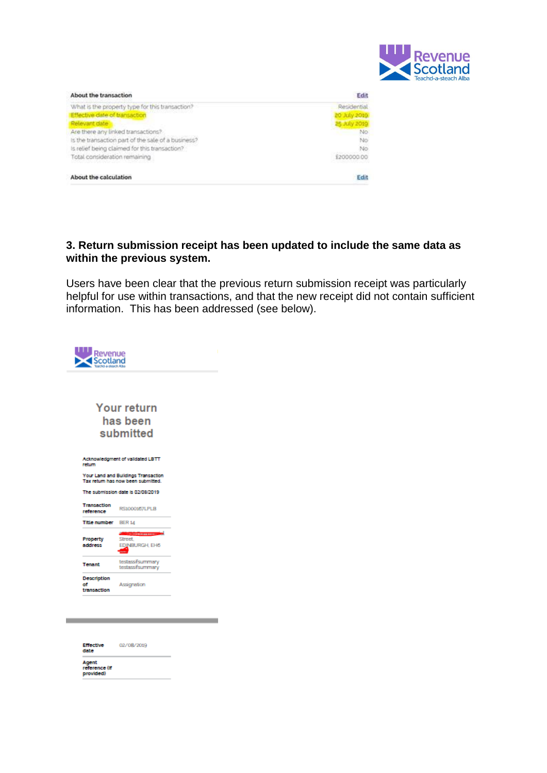

| Edit         | About the transaction                              |
|--------------|----------------------------------------------------|
| Residential  | What is the property type for this transaction?    |
| 20 July 2019 | Effective date of transaction                      |
| 25 July 2019 | Relevant date                                      |
| No.          | Are there any linked transactions?                 |
| No.          | Is the transaction part of the sale of a business? |
| No           | Is relief being claimed for this transaction?      |
| £200000.00   | Total consideration remaining                      |
| Edit         | About the calculation                              |

# **3. Return submission receipt has been updated to include the same data as within the previous system.**

Users have been clear that the previous return submission receipt was particularly helpful for use within transactions, and that the new receipt did not contain sufficient information. This has been addressed (see below).

|                          | <b>Your return</b>                                                        |  |
|--------------------------|---------------------------------------------------------------------------|--|
|                          | has been                                                                  |  |
|                          | submitted                                                                 |  |
|                          |                                                                           |  |
| return                   | Acknowledgment of validated LBTT                                          |  |
|                          | Your Land and Buildings Transaction<br>Tax return has now been submitted. |  |
|                          | The submission date is 02/08/2019                                         |  |
| Transaction<br>reference | RS1000157LPLB                                                             |  |
| Title number             | <b>BER 14</b>                                                             |  |
| Property                 | -----------<br>Street.<br>EDINBURGH, EH6                                  |  |
| address                  |                                                                           |  |
| <b>Tenant</b>            | testassifsummary<br>testassifsummary                                      |  |
| Description<br>o۴        | Assignation                                                               |  |

| <b>Effective</b><br>date            | 02/08/2019 |
|-------------------------------------|------------|
| Agent<br>reference (if<br>provided) |            |